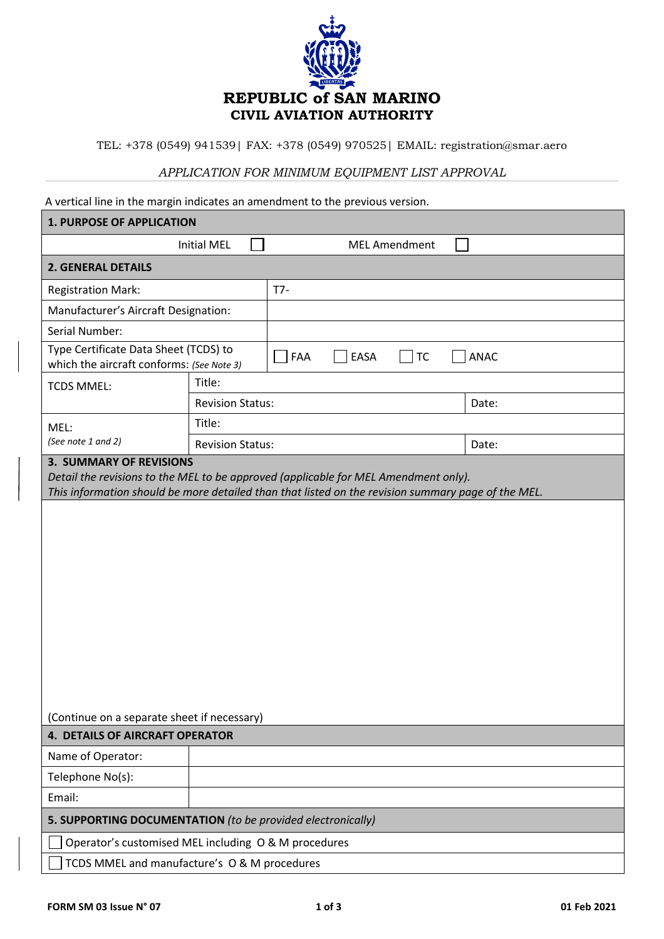

TEL: +378 (0549) 941539| FAX: +378 (0549) 970525| EMAIL: registration@smar.aero

## *APPLICATION FOR MINIMUM EQUIPMENT LIST APPROVAL*

A vertical line in the margin indicates an amendment to the previous version.

| <b>1. PURPOSE OF APPLICATION</b>                                                                                                                                                                                            |                         |                          |             |  |  |  |
|-----------------------------------------------------------------------------------------------------------------------------------------------------------------------------------------------------------------------------|-------------------------|--------------------------|-------------|--|--|--|
| <b>Initial MEL</b>                                                                                                                                                                                                          |                         | <b>MEL Amendment</b>     |             |  |  |  |
| <b>2. GENERAL DETAILS</b>                                                                                                                                                                                                   |                         |                          |             |  |  |  |
| <b>Registration Mark:</b>                                                                                                                                                                                                   |                         | $T7-$                    |             |  |  |  |
| Manufacturer's Aircraft Designation:                                                                                                                                                                                        |                         |                          |             |  |  |  |
| Serial Number:                                                                                                                                                                                                              |                         |                          |             |  |  |  |
| Type Certificate Data Sheet (TCDS) to<br>which the aircraft conforms: (See Note 3)                                                                                                                                          |                         | FAA<br>EASA<br><b>TC</b> | <b>ANAC</b> |  |  |  |
| <b>TCDS MMEL:</b>                                                                                                                                                                                                           | Title:                  |                          |             |  |  |  |
|                                                                                                                                                                                                                             | <b>Revision Status:</b> |                          | Date:       |  |  |  |
| MEL:<br>(See note 1 and 2)                                                                                                                                                                                                  | Title:                  |                          |             |  |  |  |
|                                                                                                                                                                                                                             | <b>Revision Status:</b> |                          | Date:       |  |  |  |
| <b>3. SUMMARY OF REVISIONS</b><br>Detail the revisions to the MEL to be approved (applicable for MEL Amendment only).<br>This information should be more detailed than that listed on the revision summary page of the MEL. |                         |                          |             |  |  |  |
| (Continue on a separate sheet if necessary)<br><b>4. DETAILS OF AIRCRAFT OPERATOR</b>                                                                                                                                       |                         |                          |             |  |  |  |
| Name of Operator:                                                                                                                                                                                                           |                         |                          |             |  |  |  |
| Telephone No(s):                                                                                                                                                                                                            |                         |                          |             |  |  |  |
| Email:                                                                                                                                                                                                                      |                         |                          |             |  |  |  |
| 5. SUPPORTING DOCUMENTATION (to be provided electronically)                                                                                                                                                                 |                         |                          |             |  |  |  |
| Operator's customised MEL including O & M procedures                                                                                                                                                                        |                         |                          |             |  |  |  |
| TCDS MMEL and manufacture's O & M procedures                                                                                                                                                                                |                         |                          |             |  |  |  |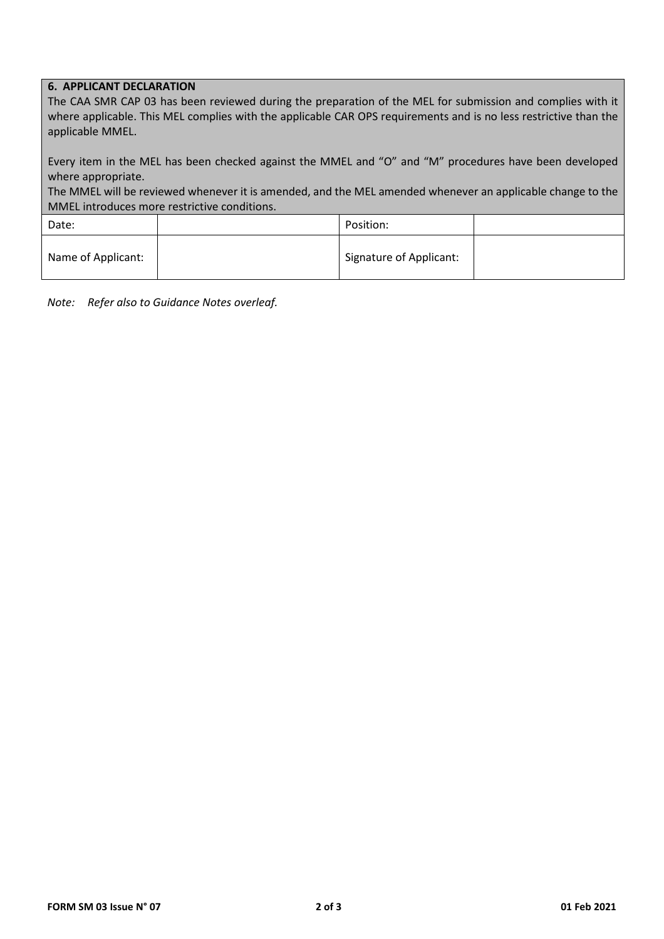## **6. APPLICANT DECLARATION**

| The CAA SMR CAP 03 has been reviewed during the preparation of the MEL for submission and complies with it       |
|------------------------------------------------------------------------------------------------------------------|
| where applicable. This MEL complies with the applicable CAR OPS requirements and is no less restrictive than the |
| applicable MMEL.                                                                                                 |

Every item in the MEL has been checked against the MMEL and "O" and "M" procedures have been developed where appropriate.

The MMEL will be reviewed whenever it is amended, and the MEL amended whenever an applicable change to the MMEL introduces more restrictive conditions.

| Date:              | Position:               |  |
|--------------------|-------------------------|--|
| Name of Applicant: | Signature of Applicant: |  |

*Note: Refer also to Guidance Notes overleaf.*